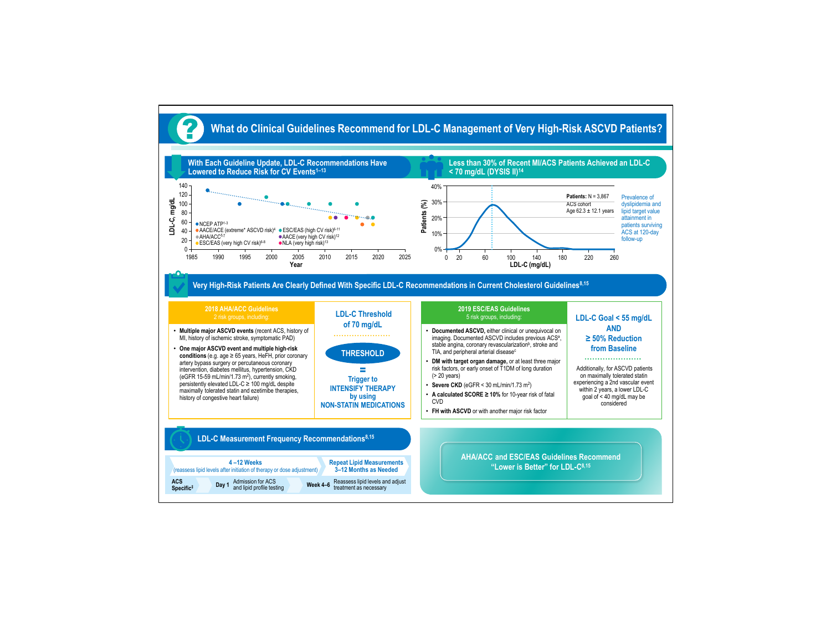

**Very High-Risk Patients Are Clearly Defined With Specific LDL-C Recommendations in Current Cholesterol Guidelines8,15**